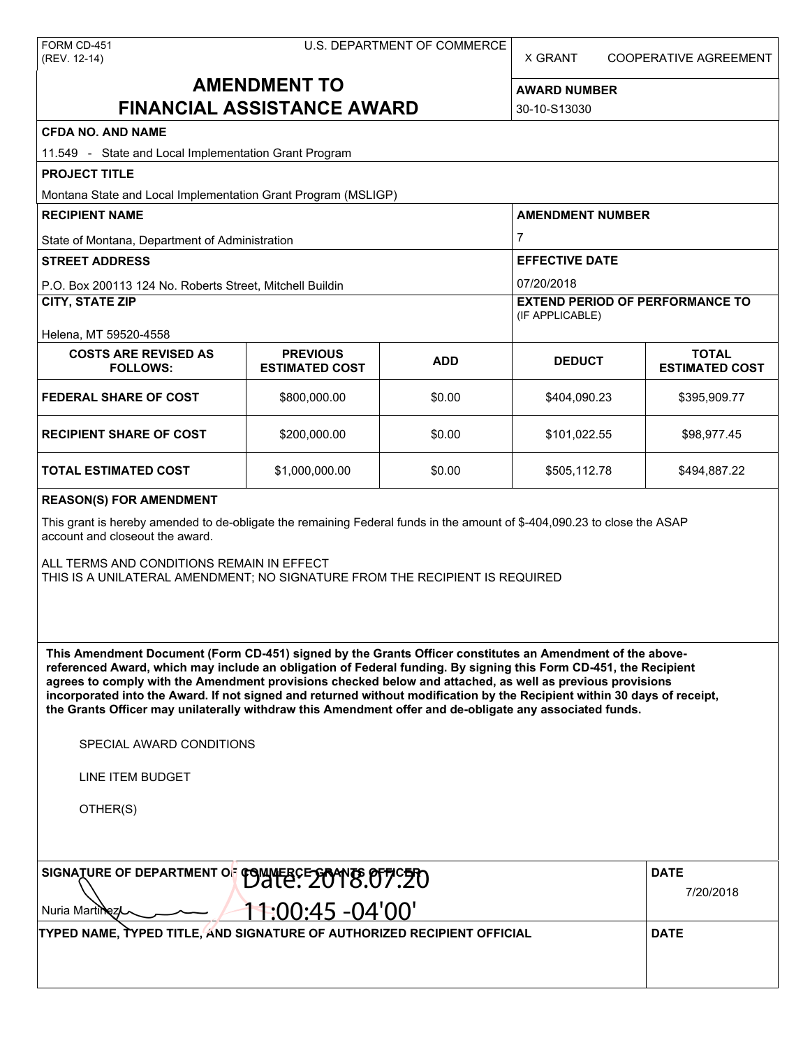X GRANT COOPERATIVE AGREEMENT

# **AMENDMENT TO FINANCIAL ASSISTANCE AWARD**

**AWARD NUMBER** 30-10-S13030

| <b>CFDA NO. AND NAME</b>                                                                                                                                                                                                                                                                                                                                                                                                                                                                                                                                                                                      |                                          |            |                                                           |                                       |  |  |  |
|---------------------------------------------------------------------------------------------------------------------------------------------------------------------------------------------------------------------------------------------------------------------------------------------------------------------------------------------------------------------------------------------------------------------------------------------------------------------------------------------------------------------------------------------------------------------------------------------------------------|------------------------------------------|------------|-----------------------------------------------------------|---------------------------------------|--|--|--|
| 11.549 - State and Local Implementation Grant Program                                                                                                                                                                                                                                                                                                                                                                                                                                                                                                                                                         |                                          |            |                                                           |                                       |  |  |  |
| <b>PROJECT TITLE</b>                                                                                                                                                                                                                                                                                                                                                                                                                                                                                                                                                                                          |                                          |            |                                                           |                                       |  |  |  |
| Montana State and Local Implementation Grant Program (MSLIGP)                                                                                                                                                                                                                                                                                                                                                                                                                                                                                                                                                 |                                          |            |                                                           |                                       |  |  |  |
| <b>RECIPIENT NAME</b>                                                                                                                                                                                                                                                                                                                                                                                                                                                                                                                                                                                         |                                          |            | <b>AMENDMENT NUMBER</b>                                   |                                       |  |  |  |
| State of Montana, Department of Administration                                                                                                                                                                                                                                                                                                                                                                                                                                                                                                                                                                |                                          |            | $\overline{7}$                                            |                                       |  |  |  |
| <b>STREET ADDRESS</b>                                                                                                                                                                                                                                                                                                                                                                                                                                                                                                                                                                                         |                                          |            | <b>EFFECTIVE DATE</b>                                     |                                       |  |  |  |
| P.O. Box 200113 124 No. Roberts Street, Mitchell Buildin                                                                                                                                                                                                                                                                                                                                                                                                                                                                                                                                                      |                                          |            | 07/20/2018                                                |                                       |  |  |  |
| <b>CITY, STATE ZIP</b>                                                                                                                                                                                                                                                                                                                                                                                                                                                                                                                                                                                        |                                          |            | <b>EXTEND PERIOD OF PERFORMANCE TO</b><br>(IF APPLICABLE) |                                       |  |  |  |
| Helena, MT 59520-4558                                                                                                                                                                                                                                                                                                                                                                                                                                                                                                                                                                                         |                                          |            |                                                           |                                       |  |  |  |
| <b>COSTS ARE REVISED AS</b><br><b>FOLLOWS:</b>                                                                                                                                                                                                                                                                                                                                                                                                                                                                                                                                                                | <b>PREVIOUS</b><br><b>ESTIMATED COST</b> | <b>ADD</b> | <b>DEDUCT</b>                                             | <b>TOTAL</b><br><b>ESTIMATED COST</b> |  |  |  |
| <b>FEDERAL SHARE OF COST</b>                                                                                                                                                                                                                                                                                                                                                                                                                                                                                                                                                                                  | \$800,000.00                             | \$0.00     | \$404,090.23                                              | \$395,909.77                          |  |  |  |
| <b>RECIPIENT SHARE OF COST</b>                                                                                                                                                                                                                                                                                                                                                                                                                                                                                                                                                                                | \$200,000.00                             | \$0.00     | \$101,022.55                                              | \$98,977.45                           |  |  |  |
| <b>TOTAL ESTIMATED COST</b>                                                                                                                                                                                                                                                                                                                                                                                                                                                                                                                                                                                   | \$1,000,000.00                           | \$0.00     | \$505,112.78                                              | \$494,887.22                          |  |  |  |
| <b>REASON(S) FOR AMENDMENT</b>                                                                                                                                                                                                                                                                                                                                                                                                                                                                                                                                                                                |                                          |            |                                                           |                                       |  |  |  |
| This grant is hereby amended to de-obligate the remaining Federal funds in the amount of \$-404,090.23 to close the ASAP<br>account and closeout the award.                                                                                                                                                                                                                                                                                                                                                                                                                                                   |                                          |            |                                                           |                                       |  |  |  |
| ALL TERMS AND CONDITIONS REMAIN IN EFFECT<br>THIS IS A UNILATERAL AMENDMENT; NO SIGNATURE FROM THE RECIPIENT IS REQUIRED                                                                                                                                                                                                                                                                                                                                                                                                                                                                                      |                                          |            |                                                           |                                       |  |  |  |
| This Amendment Document (Form CD-451) signed by the Grants Officer constitutes an Amendment of the above-<br>referenced Award, which may include an obligation of Federal funding. By signing this Form CD-451, the Recipient<br>agrees to comply with the Amendment provisions checked below and attached, as well as previous provisions<br>incorporated into the Award. If not signed and returned without modification by the Recipient within 30 days of receipt,<br>the Grants Officer may unilaterally withdraw this Amendment offer and de-obligate any associated funds.<br>SPECIAL AWARD CONDITIONS |                                          |            |                                                           |                                       |  |  |  |
| LINE ITEM BUDGET                                                                                                                                                                                                                                                                                                                                                                                                                                                                                                                                                                                              |                                          |            |                                                           |                                       |  |  |  |
| OTHER(S)                                                                                                                                                                                                                                                                                                                                                                                                                                                                                                                                                                                                      |                                          |            |                                                           |                                       |  |  |  |
| SIGNATURE OF DEPARTMENT OF COMMERCE 2018.07.20                                                                                                                                                                                                                                                                                                                                                                                                                                                                                                                                                                |                                          |            | <b>DATE</b>                                               |                                       |  |  |  |
| Nuria Martin                                                                                                                                                                                                                                                                                                                                                                                                                                                                                                                                                                                                  | 7/20/2018                                |            |                                                           |                                       |  |  |  |
| TYPED NAME, TYPED TITLE, AND SIGNATURE OF AUTHORIZED RECIPIENT OFFICIAL                                                                                                                                                                                                                                                                                                                                                                                                                                                                                                                                       | <b>DATE</b>                              |            |                                                           |                                       |  |  |  |
|                                                                                                                                                                                                                                                                                                                                                                                                                                                                                                                                                                                                               |                                          |            |                                                           |                                       |  |  |  |